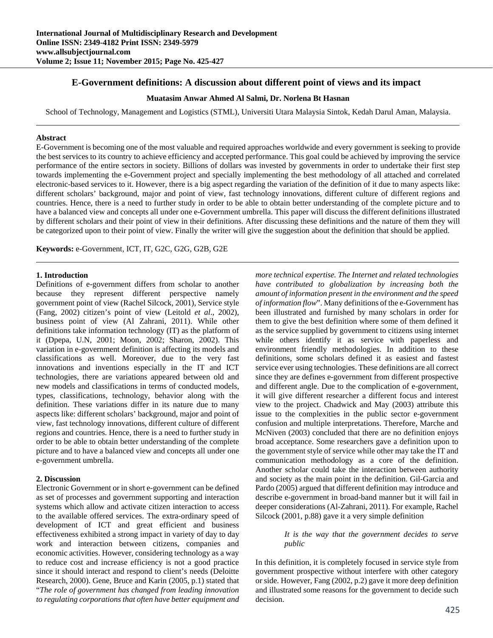# **E-Government definitions: A discussion about different point of views and its impact**

## **Muatasim Anwar Ahmed Al Salmi, Dr. Norlena Bt Hasnan**

School of Technology, Management and Logistics (STML), Universiti Utara Malaysia Sintok, Kedah Darul Aman, Malaysia.

#### **Abstract**

E-Government is becoming one of the most valuable and required approaches worldwide and every government is seeking to provide the best services to its country to achieve efficiency and accepted performance. This goal could be achieved by improving the service performance of the entire sectors in society. Billions of dollars was invested by governments in order to undertake their first step towards implementing the e-Government project and specially implementing the best methodology of all attached and correlated electronic-based services to it. However, there is a big aspect regarding the variation of the definition of it due to many aspects like: different scholars' background, major and point of view, fast technology innovations, different culture of different regions and countries. Hence, there is a need to further study in order to be able to obtain better understanding of the complete picture and to have a balanced view and concepts all under one e-Government umbrella. This paper will discuss the different definitions illustrated by different scholars and their point of view in their definitions. After discussing these definitions and the nature of them they will be categorized upon to their point of view. Finally the writer will give the suggestion about the definition that should be applied.

**Keywords:** e-Government, ICT, IT, G2C, G2G, G2B, G2E

#### **1. Introduction**

Definitions of e-government differs from scholar to another because they represent different perspective namely government point of view (Rachel Silcock, 2001), Service style (Fang, 2002) citizen's point of view (Leitold *et al*., 2002), business point of view (Al Zahrani, 2011). While other definitions take information technology (IT) as the platform of it (Dpepa, U.N, 2001; Moon, 2002; Sharon, 2002). This variation in e-government definition is affecting its models and classifications as well. Moreover, due to the very fast innovations and inventions especially in the IT and ICT technologies, there are variations appeared between old and new models and classifications in terms of conducted models, types, classifications, technology, behavior along with the definition. These variations differ in its nature due to many aspects like: different scholars' background, major and point of view, fast technology innovations, different culture of different regions and countries. Hence, there is a need to further study in order to be able to obtain better understanding of the complete picture and to have a balanced view and concepts all under one e-government umbrella.

## **2. Discussion**

Electronic Government or in short e-government can be defined as set of processes and government supporting and interaction systems which allow and activate citizen interaction to access to the available offered services. The extra-ordinary speed of development of ICT and great efficient and business effectiveness exhibited a strong impact in variety of day to day work and interaction between citizens, companies and economic activities. However, considering technology as a way to reduce cost and increase efficiency is not a good practice since it should interact and respond to client's needs (Deloitte Research, 2000). Gene, Bruce and Karin (2005, p.1) stated that "*The role of government has changed from leading innovation to regulating corporations that often have better equipment and*  *more technical expertise. The Internet and related technologies have contributed to globalization by increasing both the amount of information present in the environment and the speed of information flow*". Many definitions of the e-Government has been illustrated and furnished by many scholars in order for them to give the best definition where some of them defined it as the service supplied by government to citizens using internet while others identify it as service with paperless and environment friendly methodologies. In addition to these definitions, some scholars defined it as easiest and fastest service ever using technologies. These definitions are all correct since they are defines e-government from different prospective and different angle. Due to the complication of e-government, it will give different researcher a different focus and interest view to the project. Chadwick and May (2003) attribute this issue to the complexities in the public sector e-government confusion and multiple interpretations. Therefore, Marche and McNiven (2003) concluded that there are no definition enjoys broad acceptance. Some researchers gave a definition upon to the government style of service while other may take the IT and communication methodology as a core of the definition. Another scholar could take the interaction between authority and society as the main point in the definition. Gil-Garcia and Pardo (2005) argued that different definition may introduce and describe e-government in broad-band manner but it will fail in deeper considerations (Al-Zahrani, 2011). For example, Rachel Silcock (2001, p.88) gave it a very simple definition

### *It is the way that the government decides to serve public*

In this definition, it is completely focused in service style from government prospective without interfere with other category or side. However, Fang (2002, p.2) gave it more deep definition and illustrated some reasons for the government to decide such decision.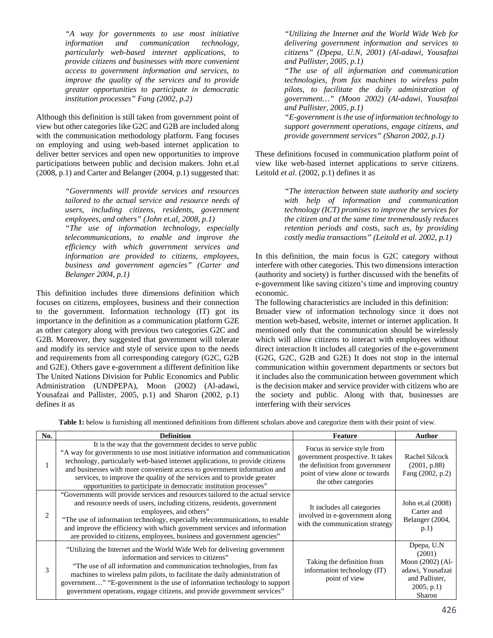*"A way for governments to use most initiative information and communication technology, particularly web-based internet applications, to provide citizens and businesses with more convenient access to government information and services, to improve the quality of the services and to provide greater opportunities to participate in democratic institution processes" Fang (2002, p.2)* 

Although this definition is still taken from government point of view but other categories like G2C and G2B are included along with the communication methodology platform. Fang focuses on employing and using web-based internet application to deliver better services and open new opportunities to improve participations between public and decision makers. John et.al (2008, p.1) and Carter and Belanger (2004, p.1) suggested that:

> *"Governments will provide services and resources tailored to the actual service and resource needs of users, including citizens, residents, government employees, and others" (John et.al, 2008, p.1)*

> *"The use of information technology, especially telecommunications, to enable and improve the efficiency with which government services and information are provided to citizens, employees, business and government agencies" (Carter and Belanger 2004, p.1)*

This definition includes three dimensions definition which focuses on citizens, employees, business and their connection to the government. Information technology (IT) got its importance in the definition as a communication platform G2E as other category along with previous two categories G2C and G2B. Moreover, they suggested that government will tolerate and modify its service and style of service upon to the needs and requirements from all corresponding category (G2C, G2B and G2E). Others gave e-government a different definition like The United Nations Division for Public Economics and Public Administration (UNDPEPA), Moon (2002) (Al-adawi, Yousafzai and Pallister, 2005, p.1) and Sharon (2002, p.1) defines it as

*"Utilizing the Internet and the World Wide Web for delivering government information and services to citizens" (Dpepa, U.N, 2001) (Al-adawi, Yousafzai and Pallister, 2005, p.1)* 

*"The use of all information and communication technologies, from fax machines to wireless palm pilots, to facilitate the daily administration of government…" (Moon 2002) (Al-adawi, Yousafzai and Pallister, 2005, p.1)* 

*"E-government is the use of information technology to support government operations, engage citizens, and provide government services" (Sharon 2002, p.1)* 

These definitions focused in communication platform point of view like web-based internet applications to serve citizens. Leitold *et al*. (2002, p.1) defines it as

> *"The interaction between state authority and society with help of information and communication technology (ICT) promises to improve the services for the citizen and at the same time tremendously reduces retention periods and costs, such as, by providing costly media transactions" (Leitold et al. 2002, p.1)*

In this definition, the main focus is G2C category without interfere with other categories. This two dimensions interaction (authority and society) is further discussed with the benefits of e-government like saving citizen's time and improving country economic.

The following characteristics are included in this definition:

Broader view of information technology since it does not mention web-based, website, internet or internet application. It mentioned only that the communication should be wirelessly which will allow citizens to interact with employees without direct interaction It includes all categories of the e-government (G2G, G2C, G2B and G2E) It does not stop in the internal communication within government departments or sectors but it includes also the communication between government which is the decision maker and service provider with citizens who are the society and public. Along with that, businesses are interfering with their services

**Table 1:** below is furnishing all mentioned definitions from different scholars above and categorize them with their point of view.

| No.            | <b>Definition</b>                                                                                                                                                                                                                                                                                                                                                                                                                                     | <b>Feature</b>                                                                                                                                              | Author                                                                                                          |
|----------------|-------------------------------------------------------------------------------------------------------------------------------------------------------------------------------------------------------------------------------------------------------------------------------------------------------------------------------------------------------------------------------------------------------------------------------------------------------|-------------------------------------------------------------------------------------------------------------------------------------------------------------|-----------------------------------------------------------------------------------------------------------------|
|                | It is the way that the government decides to serve public<br>"A way for governments to use most initiative information and communication<br>technology, particularly web-based internet applications, to provide citizens<br>and businesses with more convenient access to government information and<br>services, to improve the quality of the services and to provide greater<br>opportunities to participate in democratic institution processes" | Focus in service style from<br>government prospective. It takes<br>the definition from government<br>point of view alone or towards<br>the other categories | Rachel Silcock<br>(2001, p.88)<br>Fang (2002, p.2)                                                              |
| $\overline{c}$ | "Governments will provide services and resources tailored to the actual service<br>and resource needs of users, including citizens, residents, government<br>employees, and others"<br>"The use of information technology, especially telecommunications, to enable<br>and improve the efficiency with which government services and information<br>are provided to citizens, employees, business and government agencies"                            | It includes all categories<br>involved in e-government along<br>with the communication strategy                                                             | John et.al (2008)<br>Carter and<br>Belanger (2004,<br>p.1)                                                      |
| 3              | "Utilizing the Internet and the World Wide Web for delivering government<br>information and services to citizens"<br>"The use of all information and communication technologies, from fax<br>machines to wireless palm pilots, to facilitate the daily administration of<br>government" "E-government is the use of information technology to support<br>government operations, engage citizens, and provide government services"                     | Taking the definition from<br>information technology (IT)<br>point of view                                                                                  | Dpepa, U.N.<br>(2001)<br>Moon $(2002)$ $(Al -$<br>adawi, Yousafzai<br>and Pallister,<br>$2005$ , p.1)<br>Sharon |